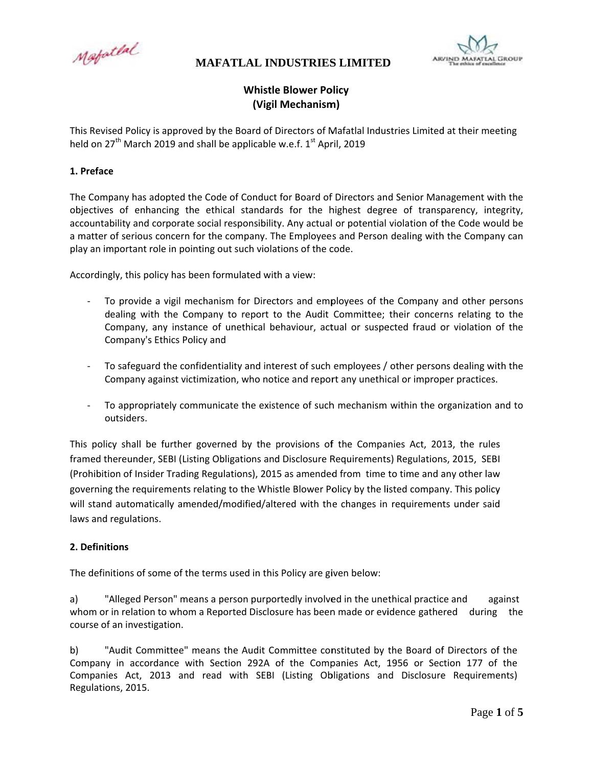Mafatlal



# **Whistle Blower Policy** (Vigil Mechanism)

This Revised Policy is approved by the Board of Directors of Mafatlal Industries Limited at their meeting held on 27<sup>th</sup> March 2019 and shall be applicable w.e.f. 1<sup>st</sup> April, 2019

#### 1. Preface

The Company has adopted the Code of Conduct for Board of Directors and Senior Management with the objectives of enhancing the ethical standards for the highest degree of transparency, integrity, accountability and corporate social responsibility. Any actual or potential violation of the Code would be a matter of serious concern for the company. The Employees and Person dealing with the Company can play an important role in pointing out such violations of the code.

Accordingly, this policy has been formulated with a view:

- To provide a vigil mechanism for Directors and employees of the Company and other persons dealing with the Company to report to the Audit Committee; their concerns relating to the Company, any instance of unethical behaviour, actual or suspected fraud or violation of the Company's Ethics Policy and
- To safeguard the confidentiality and interest of such employees / other persons dealing with the Company against victimization, who notice and report any unethical or improper practices.
- To appropriately communicate the existence of such mechanism within the organization and to outsiders.

This policy shall be further governed by the provisions of the Companies Act, 2013, the rules framed thereunder, SEBI (Listing Obligations and Disclosure Requirements) Regulations, 2015, SEBI (Prohibition of Insider Trading Regulations), 2015 as amended from time to time and any other law governing the requirements relating to the Whistle Blower Policy by the listed company. This policy will stand automatically amended/modified/altered with the changes in requirements under said laws and regulations.

### 2. Definitions

The definitions of some of the terms used in this Policy are given below:

 $a)$ "Alleged Person" means a person purportedly involved in the unethical practice and against whom or in relation to whom a Reported Disclosure has been made or evidence gathered during the course of an investigation.

"Audit Committee" means the Audit Committee constituted by the Board of Directors of the b) Company in accordance with Section 292A of the Companies Act, 1956 or Section 177 of the Companies Act, 2013 and read with SEBI (Listing Obligations and Disclosure Requirements) Regulations, 2015.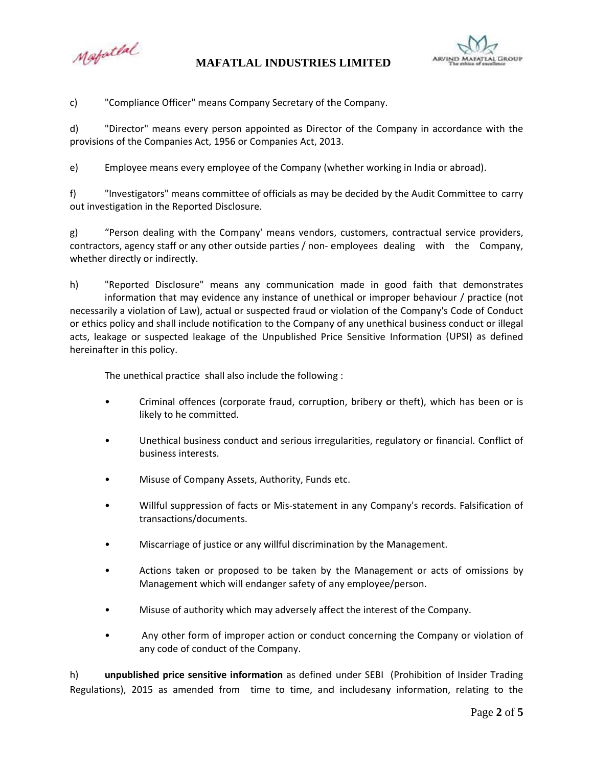Mapatlal



 $\mathsf{C}$ "Compliance Officer" means Company Secretary of the Company.

"Director" means every person appointed as Director of the Company in accordance with the d) provisions of the Companies Act, 1956 or Companies Act, 2013.

Employee means every employee of the Company (whether working in India or abroad).  $e)$ 

 $f$ "Investigators" means committee of officials as may be decided by the Audit Committee to carry out investigation in the Reported Disclosure.

g) "Person dealing with the Company' means vendors, customers, contractual service providers, contractors, agency staff or any other outside parties / non-employees dealing with the Company, whether directly or indirectly.

h) "Reported Disclosure" means any communication made in good faith that demonstrates information that may evidence any instance of unethical or improper behaviour / practice (not necessarily a violation of Law), actual or suspected fraud or violation of the Company's Code of Conduct or ethics policy and shall include notification to the Company of any unethical business conduct or illegal acts, leakage or suspected leakage of the Unpublished Price Sensitive Information (UPSI) as defined hereinafter in this policy.

The unethical practice shall also include the following :

- Criminal offences (corporate fraud, corruption, bribery or theft), which has been or is likely to he committed.
- Unethical business conduct and serious irregularities, regulatory or financial. Conflict of  $\bullet$ business interests.
- Misuse of Company Assets, Authority, Funds etc.  $\bullet$
- Willful suppression of facts or Mis-statement in any Company's records. Falsification of transactions/documents.
- Miscarriage of justice or any willful discrimination by the Management.
- Actions taken or proposed to be taken by the Management or acts of omissions by Management which will endanger safety of any employee/person.
- Misuse of authority which may adversely affect the interest of the Company.
- Any other form of improper action or conduct concerning the Company or violation of  $\bullet$ any code of conduct of the Company.

h) unpublished price sensitive information as defined under SEBI (Prohibition of Insider Trading Regulations), 2015 as amended from time to time, and includesany information, relating to the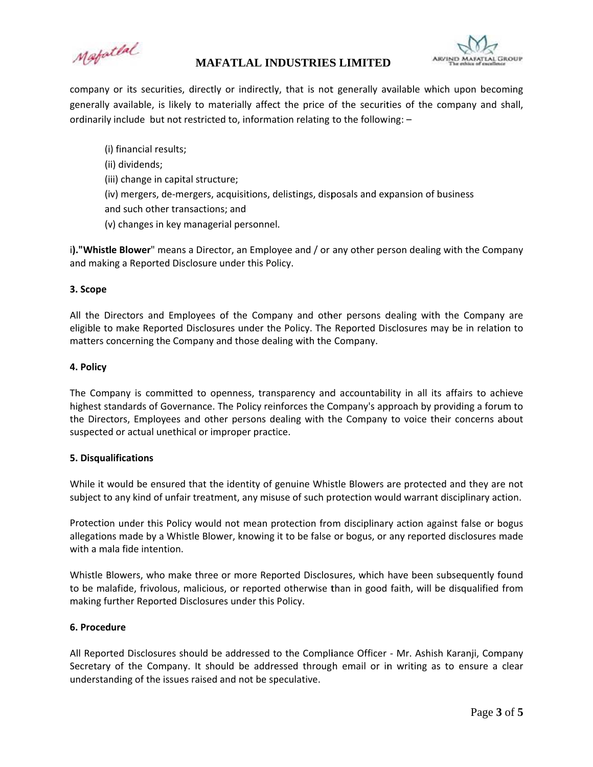Mapatlal



company or its securities, directly or indirectly, that is not generally available which upon becoming generally available, is likely to materially affect the price of the securities of the company and shall, ordinarily include but not restricted to, information relating to the following: -

(i) financial results; (ii) dividends; (iii) change in capital structure; (iv) mergers, de-mergers, acquisitions, delistings, disposals and expansion of business and such other transactions; and (v) changes in key managerial personnel.

i)."Whistle Blower" means a Director, an Employee and / or any other person dealing with the Company and making a Reported Disclosure under this Policy.

### 3. Scope

All the Directors and Employees of the Company and other persons dealing with the Company are eligible to make Reported Disclosures under the Policy. The Reported Disclosures may be in relation to matters concerning the Company and those dealing with the Company.

#### 4. Policy

The Company is committed to openness, transparency and accountability in all its affairs to achieve highest standards of Governance. The Policy reinforces the Company's approach by providing a forum to the Directors, Employees and other persons dealing with the Company to voice their concerns about suspected or actual unethical or improper practice.

#### 5. Disqualifications

While it would be ensured that the identity of genuine Whistle Blowers are protected and they are not subject to any kind of unfair treatment, any misuse of such protection would warrant disciplinary action.

Protection under this Policy would not mean protection from disciplinary action against false or bogus allegations made by a Whistle Blower, knowing it to be false or bogus, or any reported disclosures made with a mala fide intention.

Whistle Blowers, who make three or more Reported Disclosures, which have been subsequently found to be malafide, frivolous, malicious, or reported otherwise than in good faith, will be disqualified from making further Reported Disclosures under this Policy.

#### 6. Procedure

All Reported Disclosures should be addressed to the Compliance Officer - Mr. Ashish Karanji, Company Secretary of the Company. It should be addressed through email or in writing as to ensure a clear understanding of the issues raised and not be speculative.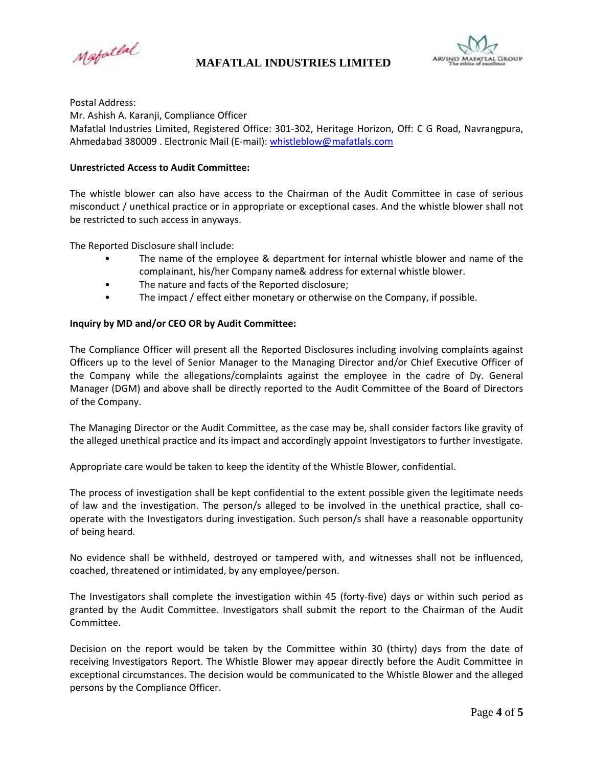Mapatlal



Postal Address:

Mr. Ashish A. Karanji, Compliance Officer Mafatlal Industries Limited, Registered Office: 301-302, Heritage Horizon, Off: C G Road, Navrangpura, Ahmedabad 380009. Electronic Mail (E-mail): whistleblow@mafatlals.com

#### **Unrestricted Access to Audit Committee:**

The whistle blower can also have access to the Chairman of the Audit Committee in case of serious misconduct / unethical practice or in appropriate or exceptional cases. And the whistle blower shall not be restricted to such access in anyways.

The Reported Disclosure shall include:

- The name of the employee & department for internal whistle blower and name of the complainant, his/her Company name& address for external whistle blower.
- The nature and facts of the Reported disclosure;  $\bullet$
- $\bullet$ The impact / effect either monetary or otherwise on the Company, if possible.

#### Inquiry by MD and/or CEO OR by Audit Committee:

The Compliance Officer will present all the Reported Disclosures including involving complaints against Officers up to the level of Senior Manager to the Managing Director and/or Chief Executive Officer of the Company while the allegations/complaints against the employee in the cadre of Dy. General Manager (DGM) and above shall be directly reported to the Audit Committee of the Board of Directors of the Company.

The Managing Director or the Audit Committee, as the case may be, shall consider factors like gravity of the alleged unethical practice and its impact and accordingly appoint Investigators to further investigate.

Appropriate care would be taken to keep the identity of the Whistle Blower, confidential.

The process of investigation shall be kept confidential to the extent possible given the legitimate needs of law and the investigation. The person/s alleged to be involved in the unethical practice, shall cooperate with the Investigators during investigation. Such person/s shall have a reasonable opportunity of being heard.

No evidence shall be withheld, destroyed or tampered with, and witnesses shall not be influenced, coached, threatened or intimidated, by any employee/person.

The Investigators shall complete the investigation within 45 (forty-five) days or within such period as granted by the Audit Committee. Investigators shall submit the report to the Chairman of the Audit Committee.

Decision on the report would be taken by the Committee within 30 (thirty) days from the date of receiving Investigators Report. The Whistle Blower may appear directly before the Audit Committee in exceptional circumstances. The decision would be communicated to the Whistle Blower and the alleged persons by the Compliance Officer.